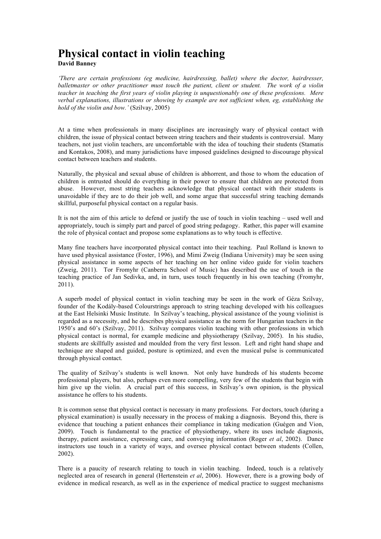# **Physical contact in violin teaching**

**David Banney**

*'There are certain professions (eg medicine, hairdressing, ballet) where the doctor, hairdresser, balletmaster or other practitioner must touch the patient, client or student. The work of a violin teacher in teaching the first years of violin playing is unquestionably one of these professions. Mere verbal explanations, illustrations or showing by example are not sufficient when, eg, establishing the hold of the violin and bow.'* (Szilvay, 2005)

At a time when professionals in many disciplines are increasingly wary of physical contact with children, the issue of physical contact between string teachers and their students is controversial. Many teachers, not just violin teachers, are uncomfortable with the idea of touching their students (Stamatis and Kontakos, 2008), and many jurisdictions have imposed guidelines designed to discourage physical contact between teachers and students.

Naturally, the physical and sexual abuse of children is abhorrent, and those to whom the education of children is entrusted should do everything in their power to ensure that children are protected from abuse. However, most string teachers acknowledge that physical contact with their students is unavoidable if they are to do their job well, and some argue that successful string teaching demands skillful, purposeful physical contact on a regular basis.

It is not the aim of this article to defend or justify the use of touch in violin teaching – used well and appropriately, touch is simply part and parcel of good string pedagogy. Rather, this paper will examine the role of physical contact and propose some explanations as to why touch is effective.

Many fine teachers have incorporated physical contact into their teaching. Paul Rolland is known to have used physical assistance (Foster, 1996), and Mimi Zweig (Indiana University) may be seen using physical assistance in some aspects of her teaching on her online video guide for violin teachers (Zweig, 2011). Tor Fromyhr (Canberra School of Music) has described the use of touch in the teaching practice of Jan Sedivka, and, in turn, uses touch frequently in his own teaching (Fromyhr, 2011).

A superb model of physical contact in violin teaching may be seen in the work of Géza Szilvay, founder of the Kodály-based Colourstrings approach to string teaching developed with his colleagues at the East Helsinki Music Institute. In Szilvay's teaching, physical assistance of the young violinist is regarded as a necessity, and he describes physical assistance as the norm for Hungarian teachers in the 1950's and 60's (Szilvay, 2011). Szilvay compares violin teaching with other professions in which physical contact is normal, for example medicine and physiotherapy (Szilvay, 2005). In his studio, students are skillfully assisted and moulded from the very first lesson. Left and right hand shape and technique are shaped and guided, posture is optimized, and even the musical pulse is communicated through physical contact.

The quality of Szilvay's students is well known. Not only have hundreds of his students become professional players, but also, perhaps even more compelling, very few of the students that begin with him give up the violin. A crucial part of this success, in Szilvay's own opinion, is the physical assistance he offers to his students.

It is common sense that physical contact is necessary in many professions. For doctors, touch (during a physical examination) is usually necessary in the process of making a diagnosis. Beyond this, there is evidence that touching a patient enhances their compliance in taking medication (Guégen and Vion, 2009). Touch is fundamental to the practice of physiotherapy, where its uses include diagnosis, therapy, patient assistance, expressing care, and conveying information (Roger *et al*, 2002). Dance instructors use touch in a variety of ways, and oversee physical contact between students (Collen, 2002).

There is a paucity of research relating to touch in violin teaching. Indeed, touch is a relatively neglected area of research in general (Hertenstein *et al*, 2006). However, there is a growing body of evidence in medical research, as well as in the experience of medical practice to suggest mechanisms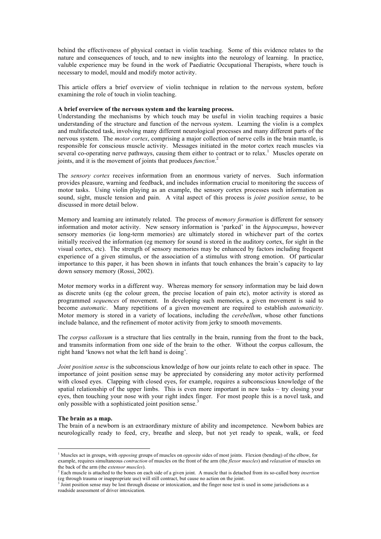behind the effectiveness of physical contact in violin teaching. Some of this evidence relates to the nature and consequences of touch, and to new insights into the neurology of learning. In practice, valuble experience may be found in the work of Paediatric Occupational Therapists, where touch is necessary to model, mould and modify motor activity.

This article offers a brief overview of violin technique in relation to the nervous system, before examining the role of touch in violin teaching.

## **A brief overview of the nervous system and the learning process.**

Understanding the mechanisms by which touch may be useful in violin teaching requires a basic understanding of the structure and function of the nervous system. Learning the violin is a complex and multifaceted task, involving many different neurological processes and many different parts of the nervous system. The *motor cortex*, comprising a major collection of nerve cells in the brain mantle, is responsible for conscious muscle activity. Messages initiated in the motor cortex reach muscles via several co-operating nerve pathways, causing them either to contract or to relax.<sup>1</sup> Muscles operate on joints, and it is the movement of joints that produces *function*. 2

The *sensory cortex* receives information from an enormous variety of nerves. Such information provides pleasure, warning and feedback, and includes information crucial to monitoring the success of motor tasks. Using violin playing as an example, the sensory cortex processes such information as sound, sight, muscle tension and pain. A vital aspect of this process is *joint position sense*, to be discussed in more detail below.

Memory and learning are intimately related. The process of *memory formation* is different for sensory information and motor activity. New sensory information is 'parked' in the *hippocampus*, however sensory memories (ie long-term memories) are ultimately stored in whichever part of the cortex initially received the information (eg memory for sound is stored in the auditory cortex, for sight in the visual cortex, etc). The strength of sensory memories may be enhanced by factors including frequent experience of a given stimulus, or the association of a stimulus with strong emotion. Of particular importance to this paper, it has been shown in infants that touch enhances the brain's capacity to lay down sensory memory (Rossi, 2002).

Motor memory works in a different way. Whereas memory for sensory information may be laid down as discrete units (eg the colour green, the precise location of pain etc), motor activity is stored as programmed *sequences* of movement. In developing such memories, a given movement is said to become *automatic*. Many repetitions of a given movement are required to establish *automaticity*. Motor memory is stored in a variety of locations, including the *cerebellum*, whose other functions include balance, and the refinement of motor activity from jerky to smooth movements.

The *corpus callosum* is a structure that lies centrally in the brain, running from the front to the back, and transmits information from one side of the brain to the other. Without the corpus callosum, the right hand 'knows not what the left hand is doing'.

*Joint position sense* is the subconscious knowledge of how our joints relate to each other in space. The importance of joint position sense may be appreciated by considering any motor activity performed with closed eyes. Clapping with closed eyes, for example, requires a subconscious knowledge of the spatial relationship of the upper limbs. This is even more important in new tasks – try closing your eyes, then touching your nose with your right index finger. For most people this is a novel task, and only possible with a sophisticated joint position sense.<sup>3</sup>

## **The brain as a map.**

The brain of a newborn is an extraordinary mixture of ability and incompetence. Newborn babies are neurologically ready to feed, cry, breathe and sleep, but not yet ready to speak, walk, or feed

 <sup>1</sup> Muscles act in groups, with *opposing* groups of muscles on *opposite* sides of most joints. Flexion (bending) of the elbow, for example, requires simultaneous *contraction* of muscles on the front of the arm (the *flexor muscles*) and *relaxation* of muscles on the back of the arm (the *extensor muscles*). 2 Each muscle is attached to the bones on each side of a given joint. A muscle that is detached from its so-called bony *insertion*

<sup>(</sup>eg through trauma or inappropriate use) will still contract, but cause no action on the joint.

 $3$  Joint position sense may be lost through disease or intoxication, and the finger nose test is used in some jurisdictions as a roadside assessment of driver intoxication.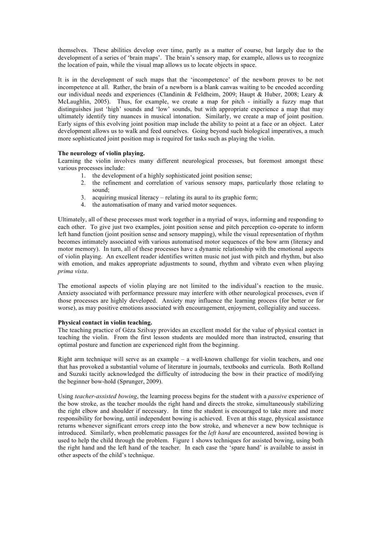themselves. These abilities develop over time, partly as a matter of course, but largely due to the development of a series of 'brain maps'. The brain's sensory map, for example, allows us to recognize the location of pain, while the visual map allows us to locate objects in space.

It is in the development of such maps that the 'incompetence' of the newborn proves to be not incompetence at all. Rather, the brain of a newborn is a blank canvas waiting to be encoded according our individual needs and experiences (Clandinin & Feldheim, 2009; Haupt & Huber, 2008; Leary & McLaughlin, 2005). Thus, for example, we create a map for pitch - initially a fuzzy map that distinguishes just 'high' sounds and 'low' sounds, but with appropriate experience a map that may ultimately identify tiny nuances in musical intonation. Similarly, we create a map of joint position. Early signs of this evolving joint position map include the ability to point at a face or an object. Later development allows us to walk and feed ourselves. Going beyond such biological imperatives, a much more sophisticated joint position map is required for tasks such as playing the violin.

## **The neurology of violin playing.**

Learning the violin involves many different neurological processes, but foremost amongst these various processes include:

- 1. the development of a highly sophisticated joint position sense;
- 2. the refinement and correlation of various sensory maps, particularly those relating to sound;
- 3. acquiring musical literacy relating its aural to its graphic form;
- 4. the automatisation of many and varied motor sequences.

Ultimately, all of these processes must work together in a myriad of ways, informing and responding to each other. To give just two examples, joint position sense and pitch perception co-operate to inform left hand function (joint position sense and sensory mapping), while the visual representation of rhythm becomes intimately associated with various automatised motor sequences of the bow arm (literacy and motor memory). In turn, all of these processes have a dynamic relationship with the emotional aspects of violin playing. An excellent reader identifies written music not just with pitch and rhythm, but also with emotion, and makes appropriate adjustments to sound, rhythm and vibrato even when playing *prima vista*.

The emotional aspects of violin playing are not limited to the individual's reaction to the music. Anxiety associated with performance pressure may interfere with other neurological processes, even if those processes are highly developed. Anxiety may influence the learning process (for better or for worse), as may positive emotions associated with encouragement, enjoyment, collegiality and success.

## **Physical contact in violin teaching.**

The teaching practice of Géza Szilvay provides an excellent model for the value of physical contact in teaching the violin. From the first lesson students are moulded more than instructed, ensuring that optimal posture and function are experienced right from the beginning.

Right arm technique will serve as an example – a well-known challenge for violin teachers, and one that has provoked a substantial volume of literature in journals, textbooks and curricula. Both Rolland and Suzuki tacitly acknowledged the difficulty of introducing the bow in their practice of modifying the beginner bow-hold (Sprunger, 2009).

Using *teacher-assisted bowing*, the learning process begins for the student with a *passive* experience of the bow stroke, as the teacher moulds the right hand and directs the stroke, simultaneously stabilizing the right elbow and shoulder if necessary. In time the student is encouraged to take more and more responsibility for bowing, until independent bowing is achieved. Even at this stage, physical assistance returns whenever significant errors creep into the bow stroke, and whenever a new bow technique is introduced. Similarly, when problematic passages for the *left hand* are encountered, assisted bowing is used to help the child through the problem. Figure 1 shows techniques for assisted bowing, using both the right hand and the left hand of the teacher. In each case the 'spare hand' is available to assist in other aspects of the child's technique.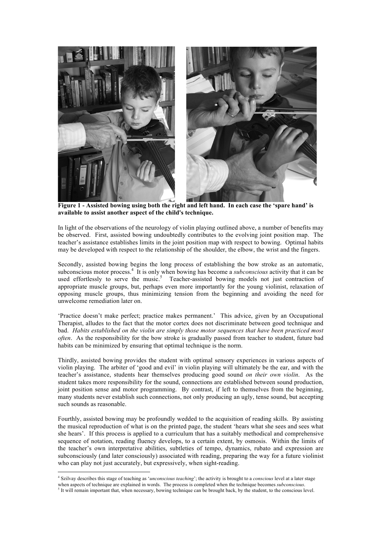

 **Figure 1 - Assisted bowing using both the right and left hand. In each case the 'spare hand' is available to assist another aspect of the child's technique.**

In light of the observations of the neurology of violin playing outlined above, a number of benefits may be observed. First, assisted bowing undoubtedly contributes to the evolving joint position map. The teacher's assistance establishes limits in the joint position map with respect to bowing. Optimal habits may be developed with respect to the relationship of the shoulder, the elbow, the wrist and the fingers.

Secondly, assisted bowing begins the long process of establishing the bow stroke as an automatic, subconscious motor process.<sup>4</sup> It is only when bowing has become a *subconscious* activity that it can be used effortlessly to serve the music.<sup>5</sup> Teacher-assisted bowing models not just contraction of appropriate muscle groups, but, perhaps even more importantly for the young violinist, relaxation of opposing muscle groups, thus minimizing tension from the beginning and avoiding the need for unwelcome remediation later on.

'Practice doesn't make perfect; practice makes permanent.' This advice, given by an Occupational Therapist, alludes to the fact that the motor cortex does not discriminate between good technique and bad. *Habits established on the violin are simply those motor sequences that have been practiced most often*. As the responsibility for the bow stroke is gradually passed from teacher to student, future bad habits can be minimized by ensuring that optimal technique is the norm.

Thirdly, assisted bowing provides the student with optimal sensory experiences in various aspects of violin playing. The arbiter of 'good and evil' in violin playing will ultimately be the ear, and with the teacher's assistance, students hear themselves producing good sound *on their own violin*. As the student takes more responsibility for the sound, connections are established between sound production, joint position sense and motor programming. By contrast, if left to themselves from the beginning, many students never establish such connections, not only producing an ugly, tense sound, but accepting such sounds as reasonable.

Fourthly, assisted bowing may be profoundly wedded to the acquisition of reading skills. By assisting the musical reproduction of what is on the printed page, the student 'hears what she sees and sees what she hears'. If this process is applied to a curriculum that has a suitably methodical and comprehensive sequence of notation, reading fluency develops, to a certain extent, by osmosis. Within the limits of the teacher's own interpretative abilities, subtleties of tempo, dynamics, rubato and expression are subconsciously (and later consciously) associated with reading, preparing the way for a future violinist who can play not just accurately, but expressively, when sight-reading.

 <sup>4</sup> Szilvay describes this stage of teaching as '*unconscious teaching*'; the activity is brought to a *conscious* level at a later stage when aspects of technique are explained in words. The process is completed when the technique becomes *subconscious*.

<sup>&</sup>lt;sup>5</sup> It will remain important that, when necessary, bowing technique can be brought back, by the student, to the conscious level.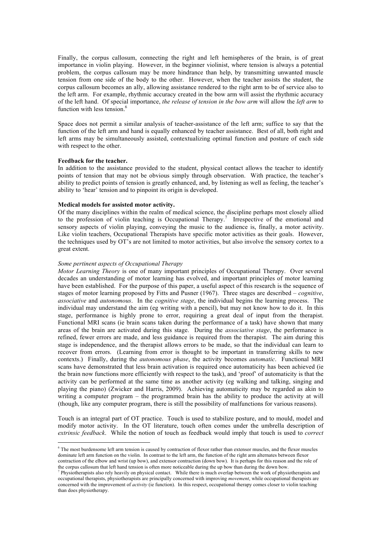Finally, the corpus callosum, connecting the right and left hemispheres of the brain, is of great importance in violin playing. However, in the beginner violinist, where tension is always a potential problem, the corpus callosum may be more hindrance than help, by transmitting unwanted muscle tension from one side of the body to the other. However, when the teacher assists the student, the corpus callosum becomes an ally, allowing assistance rendered to the right arm to be of service also to the left arm. For example, rhythmic accuracy created in the bow arm will assist the rhythmic accuracy of the left hand. Of special importance, *the release of tension in the bow arm* will allow the *left arm* to function with less tension.<sup>6</sup>

Space does not permit a similar analysis of teacher-assistance of the left arm; suffice to say that the function of the left arm and hand is equally enhanced by teacher assistance. Best of all, both right and left arms may be simultaneously assisted, contextualizing optimal function and posture of each side with respect to the other.

## **Feedback for the teacher.**

In addition to the assistance provided to the student, physical contact allows the teacher to identify points of tension that may not be obvious simply through observation. With practice, the teacher's ability to predict points of tension is greatly enhanced, and, by listening as well as feeling, the teacher's ability to 'hear' tension and to pinpoint its origin is developed.

### **Medical models for assisted motor activity.**

Of the many disciplines within the realm of medical science, the discipline perhaps most closely allied to the profession of violin teaching is Occupational Therapy.<sup>7</sup> Irrespective of the emotional and sensory aspects of violin playing, conveying the music to the audience is, finally, a motor activity. Like violin teachers, Occupational Therapists have specific motor activities as their goals. However, the techniques used by OT's are not limited to motor activities, but also involve the sensory cortex to a great extent.

#### *Some pertinent aspects of Occupational Therapy*

*Motor Learning Theory* is one of many important principles of Occupational Therapy. Over several decades an understanding of motor learning has evolved, and important principles of motor learning have been established. For the purpose of this paper, a useful aspect of this research is the sequence of stages of motor learning proposed by Fitts and Pusner (1967). Three stages are described – *cognitive*, *associative* and *autonomous*. In the *cognitive stage*, the individual begins the learning process. The individual may understand the aim (eg writing with a pencil), but may not know how to do it. In this stage, performance is highly prone to error, requiring a great deal of input from the therapist. Functional MRI scans (ie brain scans taken during the performance of a task) have shown that many areas of the brain are activated during this stage. During the *associative stage*, the performance is refined, fewer errors are made, and less guidance is required from the therapist. The aim during this stage is independence, and the therapist allows errors to be made, so that the individual can learn to recover from errors. (Learning from error is thought to be important in transferring skills to new contexts.) Finally, during the *autonomous phase*, the activity becomes *automatic*. Functional MRI scans have demonstrated that less brain activation is required once automaticity has been achieved (ie the brain now functions more efficiently with respect to the task), and 'proof' of automaticity is that the activity can be performed at the same time as another activity (eg walking and talking, singing and playing the piano) (Zwicker and Harris, 2009). Achieving automaticity may be regarded as akin to writing a computer program – the programmed brain has the ability to produce the activity at will (though, like any computer program, there is still the possibility of malfunctions for various reasons).

Touch is an integral part of OT practice. Touch is used to stabilize posture, and to mould, model and modify motor activity. In the OT literature, touch often comes under the umbrella description of *extrinsic feedback*. While the notion of touch as feedback would imply that touch is used to *correct*

<sup>&</sup>lt;sup>6</sup> The most burdensome left arm tension is caused by contraction of flexor rather than extensor muscles, and the flexor muscles dominate left arm function on the violin. In contrast to the left arm, the function of the right arm alternates between flexor contraction of the elbow and wrist (up bow), and extensor contraction (down bow). It is perhaps for this reason and the role of the corpus callosum that left hand tension is often more noticeable during the up bow than during the down bow.

<sup>7</sup> Physiotherapists also rely heavily on physical contact. While there is much overlap between the work of physiotherapists and occupational therapists, physiotherapists are principally concerned with improving *movement*, while occupational therapists are concerned with the improvement of *activity* (ie function). In this respect, occupational therapy comes closer to violin teaching than does physiotherapy.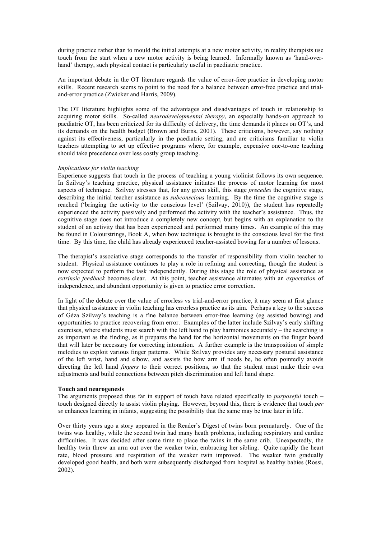during practice rather than to mould the initial attempts at a new motor activity, in reality therapists use touch from the start when a new motor activity is being learned. Informally known as 'hand-overhand' therapy, such physical contact is particularly useful in paediatric practice.

An important debate in the OT literature regards the value of error-free practice in developing motor skills. Recent research seems to point to the need for a balance between error-free practice and trialand-error practice (Zwicker and Harris, 2009).

The OT literature highlights some of the advantages and disadvantages of touch in relationship to acquiring motor skills. So-called *neurodevelopmental therapy*, an especially hands-on approach to paediatric OT, has been criticized for its difficulty of delivery, the time demands it places on OT's, and its demands on the health budget (Brown and Burns, 2001). These criticisms, however, say nothing against its effectiveness, particularly in the paediatric setting, and are criticisms familiar to violin teachers attempting to set up effective programs where, for example, expensive one-to-one teaching should take precedence over less costly group teaching.

## *Implications for violin teaching*

Experience suggests that touch in the process of teaching a young violinist follows its own sequence. In Szilvay's teaching practice, physical assistance initiates the process of motor learning for most aspects of technique. Szilvay stresses that, for any given skill, this stage *precedes* the cognitive stage, describing the initial teacher assistance as *subconscious* learning. By the time the cognitive stage is reached ('bringing the activity to the conscious level' (Szilvay, 2010)), the student has repeatedly experienced the activity passively and performed the activity with the teacher's assistance. Thus, the cognitive stage does not introduce a completely new concept, but begins with an explanation to the student of an activity that has been experienced and performed many times. An example of this may be found in Colourstrings, Book A, when bow technique is brought to the conscious level for the first time. By this time, the child has already experienced teacher-assisted bowing for a number of lessons.

The therapist's associative stage corresponds to the transfer of responsibility from violin teacher to student. Physical assistance continues to play a role in refining and correcting, though the student is now expected to perform the task independently. During this stage the role of physical assistance as *extrinsic feedback* becomes clear. At this point, teacher assistance alternates with an *expectation* of independence, and abundant opportunity is given to practice error correction.

In light of the debate over the value of errorless vs trial-and-error practice, it may seem at first glance that physical assistance in violin teaching has errorless practice as its aim. Perhaps a key to the success of Géza Szilvay's teaching is a fine balance between error-free learning (eg assisted bowing) and opportunities to practice recovering from error. Examples of the latter include Szilvay's early shifting exercises, where students must search with the left hand to play harmonics accurately – the searching is as important as the finding, as it prepares the hand for the horizontal movements on the finger board that will later be necessary for correcting intonation. A further example is the transposition of simple melodies to exploit various finger patterns. While Szilvay provides any necessary postural assistance of the left wrist, hand and elbow, and assists the bow arm if needs be, he often pointedly avoids directing the left hand *fingers* to their correct positions, so that the student must make their own adjustments and build connections between pitch discrimination and left hand shape.

#### **Touch and neurogenesis**

The arguments proposed thus far in support of touch have related specifically to *purposeful* touch – touch designed directly to assist violin playing. However, beyond this, there is evidence that touch *per se* enhances learning in infants, suggesting the possibility that the same may be true later in life.

Over thirty years ago a story appeared in the Reader's Digest of twins born prematurely. One of the twins was healthy, while the second twin had many heath problems, including respiratory and cardiac difficulties. It was decided after some time to place the twins in the same crib. Unexpectedly, the healthy twin threw an arm out over the weaker twin, embracing her sibling. Quite rapidly the heart rate, blood pressure and respiration of the weaker twin improved. The weaker twin gradually developed good health, and both were subsequently discharged from hospital as healthy babies (Rossi, 2002).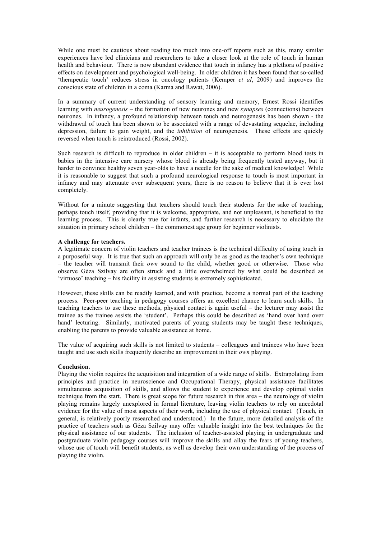While one must be cautious about reading too much into one-off reports such as this, many similar experiences have led clinicians and researchers to take a closer look at the role of touch in human health and behaviour. There is now abundant evidence that touch in infancy has a plethora of positive effects on development and psychological well-being. In older children it has been found that so-called 'therapeutic touch' reduces stress in oncology patients (Kemper *et al*, 2009) and improves the conscious state of children in a coma (Karma and Rawat, 2006).

In a summary of current understanding of sensory learning and memory, Ernest Rossi identifies learning with *neurogenesis* – the formation of new neurones and new *synapses* (connections) between neurones. In infancy, a profound relationship between touch and neurogenesis has been shown - the withdrawal of touch has been shown to be associated with a range of devastating sequelae, including depression, failure to gain weight, and the *inhibition* of neurogenesis. These effects are quickly reversed when touch is reintroduced (Rossi, 2002).

Such research is difficult to reproduce in older children – it is acceptable to perform blood tests in babies in the intensive care nursery whose blood is already being frequently tested anyway, but it harder to convince healthy seven year-olds to have a needle for the sake of medical knowledge! While it is reasonable to suggest that such a profound neurological response to touch is most important in infancy and may attenuate over subsequent years, there is no reason to believe that it is ever lost completely.

Without for a minute suggesting that teachers should touch their students for the sake of touching, perhaps touch itself, providing that it is welcome, appropriate, and not unpleasant, is beneficial to the learning process. This is clearly true for infants, and further research is necessary to elucidate the situation in primary school children – the commonest age group for beginner violinists.

## **A challenge for teachers.**

A legitimate concern of violin teachers and teacher trainees is the technical difficulty of using touch in a purposeful way. It is true that such an approach will only be as good as the teacher's own technique – the teacher will transmit their *own* sound to the child, whether good or otherwise. Those who observe Géza Szilvay are often struck and a little overwhelmed by what could be described as 'virtuoso' teaching – his facility in assisting students is extremely sophisticated.

However, these skills can be readily learned, and with practice, become a normal part of the teaching process. Peer-peer teaching in pedagogy courses offers an excellent chance to learn such skills. In teaching teachers to use these methods, physical contact is again useful – the lecturer may assist the trainee as the trainee assists the 'student'. Perhaps this could be described as 'hand over hand over hand' lecturing. Similarly, motivated parents of young students may be taught these techniques, enabling the parents to provide valuable assistance at home.

The value of acquiring such skills is not limited to students – colleagues and trainees who have been taught and use such skills frequently describe an improvement in their *own* playing.

## **Conclusion.**

Playing the violin requires the acquisition and integration of a wide range of skills. Extrapolating from principles and practice in neuroscience and Occupational Therapy, physical assistance facilitates simultaneous acquisition of skills, and allows the student to experience and develop optimal violin technique from the start. There is great scope for future research in this area – the neurology of violin playing remains largely unexplored in formal literature, leaving violin teachers to rely on anecdotal evidence for the value of most aspects of their work, including the use of physical contact. (Touch, in general, is relatively poorly researched and understood.) In the future, more detailed analysis of the practice of teachers such as Géza Szilvay may offer valuable insight into the best techniques for the physical assistance of our students. The inclusion of teacher-assisted playing in undergraduate and postgraduate violin pedagogy courses will improve the skills and allay the fears of young teachers, whose use of touch will benefit students, as well as develop their own understanding of the process of playing the violin.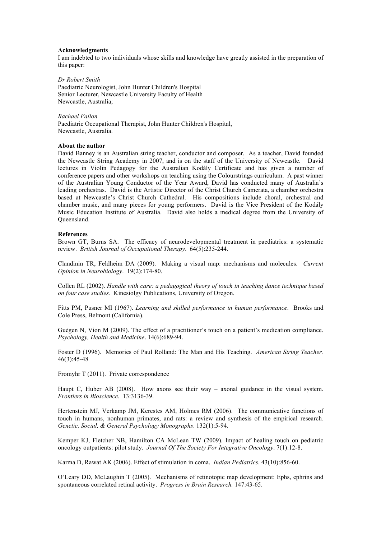## **Acknowledgments**

I am indebted to two individuals whose skills and knowledge have greatly assisted in the preparation of this paper:

#### *Dr Robert Smith*

Paediatric Neurologist, John Hunter Children's Hospital Senior Lecturer, Newcastle University Faculty of Health Newcastle, Australia;

### *Rachael Fallon*

Paediatric Occupational Therapist, John Hunter Children's Hospital, Newcastle, Australia.

## **About the author**

David Banney is an Australian string teacher, conductor and composer. As a teacher, David founded the Newcastle String Academy in 2007, and is on the staff of the University of Newcastle. David lectures in Violin Pedagogy for the Australian Kodály Certificate and has given a number of conference papers and other workshops on teaching using the Colourstrings curriculum. A past winner of the Australian Young Conductor of the Year Award, David has conducted many of Australia's leading orchestras. David is the Artistic Director of the Christ Church Camerata, a chamber orchestra based at Newcastle's Christ Church Cathedral. His compositions include choral, orchestral and chamber music, and many pieces for young performers. David is the Vice President of the Kodály Music Education Institute of Australia. David also holds a medical degree from the University of Queensland.

## **References**

Brown GT, Burns SA. The efficacy of neurodevelopmental treatment in paediatrics: a systematic review. *British Journal of Occupational Therapy*. 64(5):235-244.

Clandinin TR, Feldheim DA (2009). Making a visual map: mechanisms and molecules. *Current Opinion in Neurobiology*. 19(2):174-80.

Collen RL (2002). *Handle with care: a pedagogical theory of touch in teaching dance technique based on four case studies.* Kinesiolgy Publications, University of Oregon.

Fitts PM, Pusner MI (1967). *Learning and skilled performance in human performance*. Brooks and Cole Press, Belmont (California).

Guégen N, Vion M (2009). The effect of a practitioner's touch on a patient's medication compliance. *Psychology, Health and Medicine*. 14(6):689-94.

Foster D (1996). Memories of Paul Rolland: The Man and His Teaching. *American String Teacher.* 46(3):45-48

Fromyhr T (2011). Private correspondence

Haupt C, Huber AB (2008). How axons see their way – axonal guidance in the visual system. *Frontiers in Bioscience*. 13:3136-39.

Hertenstein MJ, Verkamp JM, Kerestes AM, Holmes RM (2006). The communicative functions of touch in humans, nonhuman primates, and rats: a review and synthesis of the empirical research*. Genetic, Social, & General Psychology Monographs*. 132(1):5-94.

Kemper KJ, Fletcher NB, Hamilton CA McLean TW (2009). Impact of healing touch on pediatric oncology outpatients: pilot study*. Journal Of The Society For Integrative Oncology*. 7(1):12-8.

Karma D, Rawat AK (2006). Effect of stimulation in coma. *Indian Pediatrics*. 43(10):856-60.

O'Leary DD, McLaughin T (2005). Mechanisms of retinotopic map development: Ephs, ephrins and spontaneous correlated retinal activity. *Progress in Brain Research.* 147:43-65.